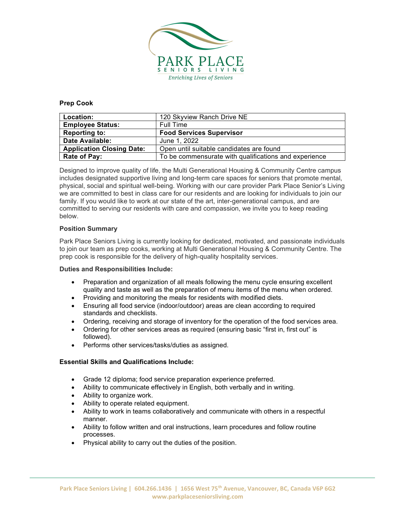

## Prep Cook

| Location:                        | 120 Skyview Ranch Drive NE                            |
|----------------------------------|-------------------------------------------------------|
| <b>Employee Status:</b>          | Full Time                                             |
| <b>Reporting to:</b>             | <b>Food Services Supervisor</b>                       |
| Date Available:                  | June 1, 2022                                          |
| <b>Application Closing Date:</b> | Open until suitable candidates are found              |
| Rate of Pay:                     | To be commensurate with qualifications and experience |

Designed to improve quality of life, the Multi Generational Housing & Community Centre campus includes designated supportive living and long-term care spaces for seniors that promote mental, physical, social and spiritual well-being. Working with our care provider Park Place Senior's Living we are committed to best in class care for our residents and are looking for individuals to join our family. If you would like to work at our state of the art, inter-generational campus, and are committed to serving our residents with care and compassion, we invite you to keep reading below.

## Position Summary

Park Place Seniors Living is currently looking for dedicated, motivated, and passionate individuals to join our team as prep cooks, working at Multi Generational Housing & Community Centre. The prep cook is responsible for the delivery of high-quality hospitality services.

## Duties and Responsibilities Include:

- Preparation and organization of all meals following the menu cycle ensuring excellent quality and taste as well as the preparation of menu items of the menu when ordered.
- Providing and monitoring the meals for residents with modified diets.
- Ensuring all food service (indoor/outdoor) areas are clean according to required standards and checklists.
- Ordering, receiving and storage of inventory for the operation of the food services area.
- Ordering for other services areas as required (ensuring basic "first in, first out" is followed).
- Performs other services/tasks/duties as assigned.

## Essential Skills and Qualifications Include:

- Grade 12 diploma; food service preparation experience preferred.
- Ability to communicate effectively in English, both verbally and in writing.
- Ability to organize work.
- Ability to operate related equipment.
- Ability to work in teams collaboratively and communicate with others in a respectful manner.
- Ability to follow written and oral instructions, learn procedures and follow routine processes.
- Physical ability to carry out the duties of the position.